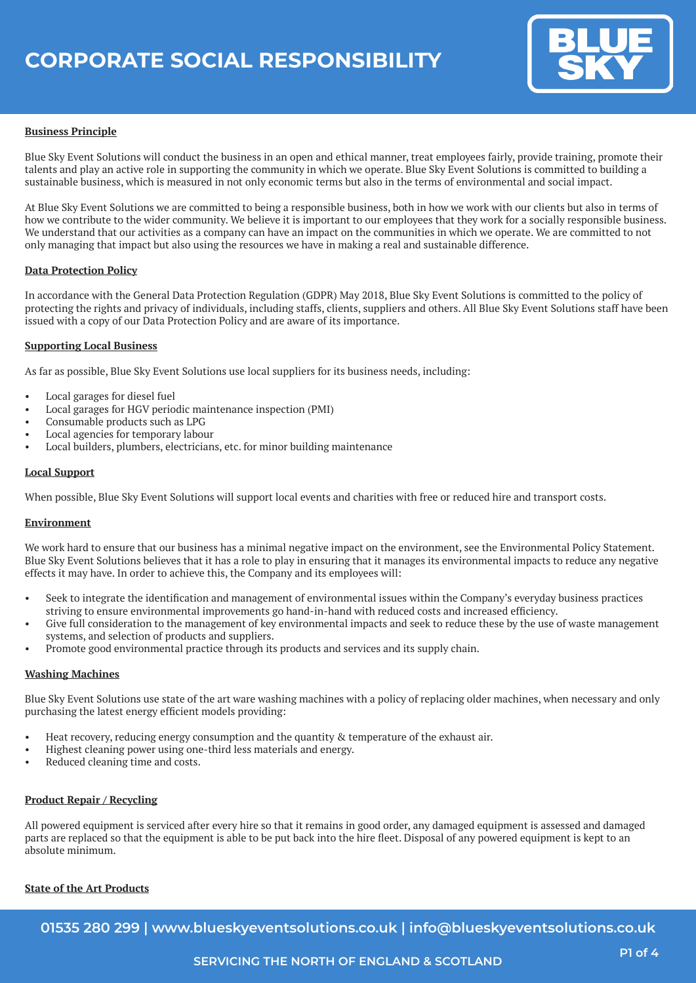

## **Business Principle**

Blue Sky Event Solutions will conduct the business in an open and ethical manner, treat employees fairly, provide training, promote their talents and play an active role in supporting the community in which we operate. Blue Sky Event Solutions is committed to building a sustainable business, which is measured in not only economic terms but also in the terms of environmental and social impact.

At Blue Sky Event Solutions we are committed to being a responsible business, both in how we work with our clients but also in terms of how we contribute to the wider community. We believe it is important to our employees that they work for a socially responsible business. We understand that our activities as a company can have an impact on the communities in which we operate. We are committed to not only managing that impact but also using the resources we have in making a real and sustainable difference.

### **Data Protection Policy**

In accordance with the General Data Protection Regulation (GDPR) May 2018, Blue Sky Event Solutions is committed to the policy of protecting the rights and privacy of individuals, including staffs, clients, suppliers and others. All Blue Sky Event Solutions staff have been issued with a copy of our Data Protection Policy and are aware of its importance.

### **Supporting Local Business**

As far as possible, Blue Sky Event Solutions use local suppliers for its business needs, including:

- Local garages for diesel fuel
- Local garages for HGV periodic maintenance inspection (PMI)
- Consumable products such as LPG
- Local agencies for temporary labour
- Local builders, plumbers, electricians, etc. for minor building maintenance

### **Local Support**

When possible, Blue Sky Event Solutions will support local events and charities with free or reduced hire and transport costs.

#### **Environment**

We work hard to ensure that our business has a minimal negative impact on the environment, see the Environmental Policy Statement. Blue Sky Event Solutions believes that it has a role to play in ensuring that it manages its environmental impacts to reduce any negative effects it may have. In order to achieve this, the Company and its employees will:

- Seek to integrate the identification and management of environmental issues within the Company's everyday business practices striving to ensure environmental improvements go hand-in-hand with reduced costs and increased efficiency.
- Give full consideration to the management of key environmental impacts and seek to reduce these by the use of waste management systems, and selection of products and suppliers.
- Promote good environmental practice through its products and services and its supply chain.

#### **Washing Machines**

Blue Sky Event Solutions use state of the art ware washing machines with a policy of replacing older machines, when necessary and only purchasing the latest energy efficient models providing:

- Heat recovery, reducing energy consumption and the quantity & temperature of the exhaust air.
- Highest cleaning power using one-third less materials and energy.
- Reduced cleaning time and costs.

### **Product Repair / Recycling**

All powered equipment is serviced after every hire so that it remains in good order, any damaged equipment is assessed and damaged parts are replaced so that the equipment is able to be put back into the hire fleet. Disposal of any powered equipment is kept to an absolute minimum.

### **State of the Art Products**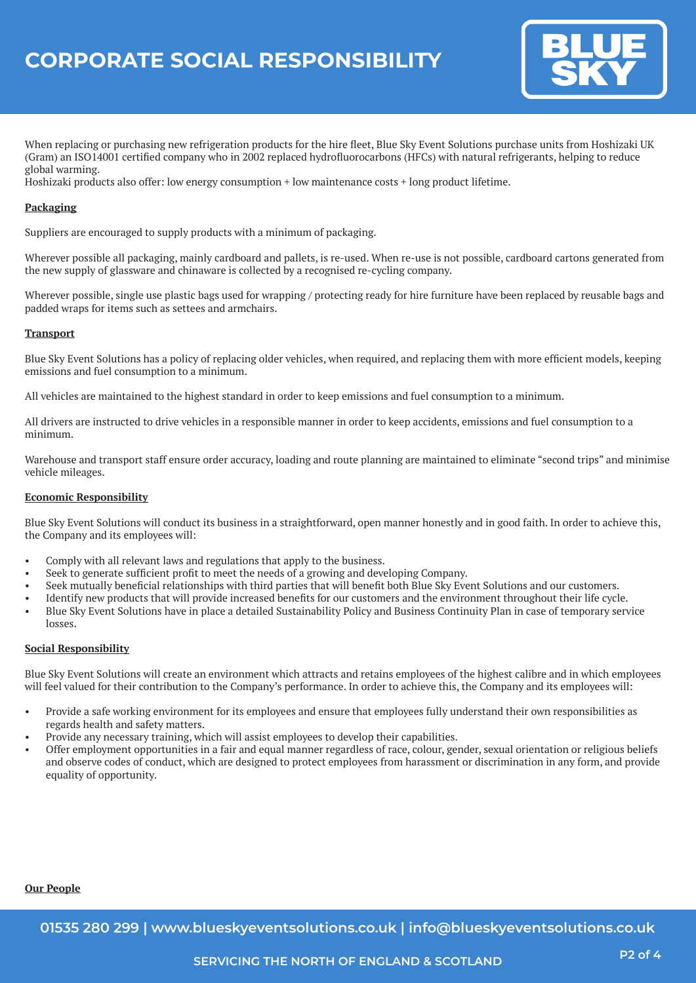

When replacing or purchasing new refrigeration products for the hire fleet, Blue Sky Event Solutions purchase units from Hoshizaki UK (Gram) an ISO14001 certified company who in 2002 replaced hydrofluorocarbons (HFCs) with natural refrigerants, helping to reduce global warming.

Hoshizaki products also offer: low energy consumption + low maintenance costs + long product lifetime.

## **Packaging**

Suppliers are encouraged to supply products with a minimum of packaging.

Wherever possible all packaging, mainly cardboard and pallets, is re-used. When re-use is not possible, cardboard cartons generated from the new supply of glassware and chinaware is collected by a recognised re-cycling company.

Wherever possible, single use plastic bags used for wrapping / protecting ready for hire furniture have been replaced by reusable bags and padded wraps for items such as settees and armchairs.

### **Transport**

Blue Sky Event Solutions has a policy of replacing older vehicles, when required, and replacing them with more efficient models, keeping emissions and fuel consumption to a minimum.

All vehicles are maintained to the highest standard in order to keep emissions and fuel consumption to a minimum.

All drivers are instructed to drive vehicles in a responsible manner in order to keep accidents, emissions and fuel consumption to a minimum.

Warehouse and transport staff ensure order accuracy, loading and route planning are maintained to eliminate "second trips" and minimise vehicle mileages.

### **Economic Responsibility**

Blue Sky Event Solutions will conduct its business in a straightforward, open manner honestly and in good faith. In order to achieve this, the Company and its employees will:

- Comply with all relevant laws and regulations that apply to the business.
- Seek to generate sufficient profit to meet the needs of a growing and developing Company.
- Seek mutually beneficial relationships with third parties that will benefit both Blue Sky Event Solutions and our customers.
- Identify new products that will provide increased benefits for our customers and the environment throughout their life cycle.
- Blue Sky Event Solutions have in place a detailed Sustainability Policy and Business Continuity Plan in case of temporary service losses.

## **Social Responsibility**

Blue Sky Event Solutions will create an environment which attracts and retains employees of the highest calibre and in which employees will feel valued for their contribution to the Company's performance. In order to achieve this, the Company and its employees will:

- Provide a safe working environment for its employees and ensure that employees fully understand their own responsibilities as regards health and safety matters.
- Provide any necessary training, which will assist employees to develop their capabilities.
- Offer employment opportunities in a fair and equal manner regardless of race, colour, gender, sexual orientation or religious beliefs and observe codes of conduct, which are designed to protect employees from harassment or discrimination in any form, and provide equality of opportunity.

# **Our People**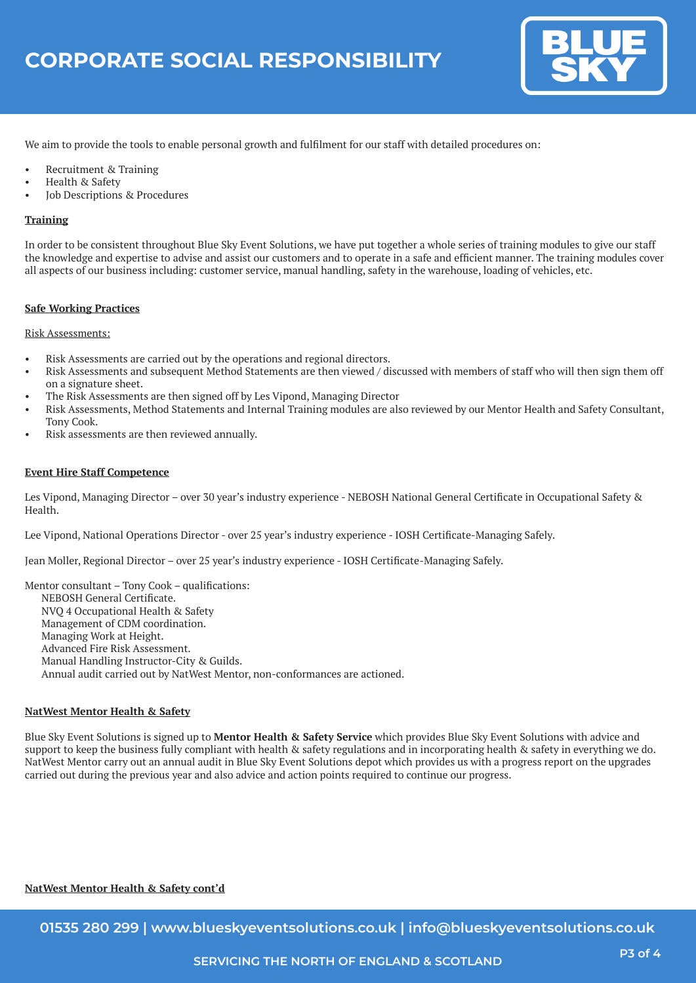

We aim to provide the tools to enable personal growth and fulfilment for our staff with detailed procedures on:

- Recruitment & Training
- Health & Safety
- Job Descriptions & Procedures

### **Training**

In order to be consistent throughout Blue Sky Event Solutions, we have put together a whole series of training modules to give our staff the knowledge and expertise to advise and assist our customers and to operate in a safe and efficient manner. The training modules cover all aspects of our business including: customer service, manual handling, safety in the warehouse, loading of vehicles, etc.

### **Safe Working Practices**

### Risk Assessments:

- Risk Assessments are carried out by the operations and regional directors.
- Risk Assessments and subsequent Method Statements are then viewed / discussed with members of staff who will then sign them off on a signature sheet.
- The Risk Assessments are then signed off by Les Vipond, Managing Director
- Risk Assessments, Method Statements and Internal Training modules are also reviewed by our Mentor Health and Safety Consultant, Tony Cook.
- Risk assessments are then reviewed annually.

### **Event Hire Staff Competence**

Les Vipond, Managing Director – over 30 year's industry experience - NEBOSH National General Certificate in Occupational Safety & Health.

Lee Vipond, National Operations Director - over 25 year's industry experience - IOSH Certificate-Managing Safely.

Jean Moller, Regional Director – over 25 year's industry experience - IOSH Certificate-Managing Safely.

Mentor consultant – Tony Cook – qualifications: NEBOSH General Certificate. NVQ 4 Occupational Health & Safety Management of CDM coordination. Managing Work at Height. Advanced Fire Risk Assessment. Manual Handling Instructor-City & Guilds. Annual audit carried out by NatWest Mentor, non-conformances are actioned.

#### **NatWest Mentor Health & Safety**

Blue Sky Event Solutions is signed up to **Mentor Health & Safety Service** which provides Blue Sky Event Solutions with advice and support to keep the business fully compliant with health & safety regulations and in incorporating health & safety in everything we do. NatWest Mentor carry out an annual audit in Blue Sky Event Solutions depot which provides us with a progress report on the upgrades carried out during the previous year and also advice and action points required to continue our progress.

# **NatWest Mentor Health & Safety cont'd**